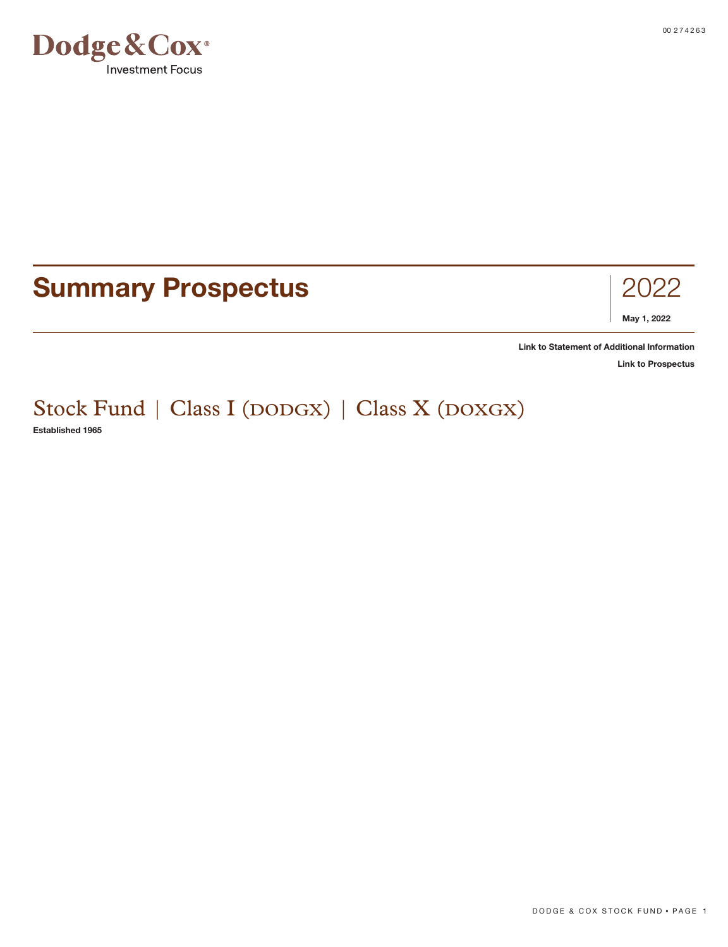

# **Summary Prospectus** 2022



**[Link to Statement of Additional Information](https://www.dodgeandcox.com/content/dam/dc/us/en/pdf/disclosures/dc_statement_of_additional_information.pdf)**

**[Link to Prospectus](https://www.dodgeandcox.com/content/dam/dc/us/en/pdf/prospectuses/dc_statutory_prospectus.pdf)**

Stock Fund | Class I (DODGX) | Class X (DOXGX) **Established 1965**

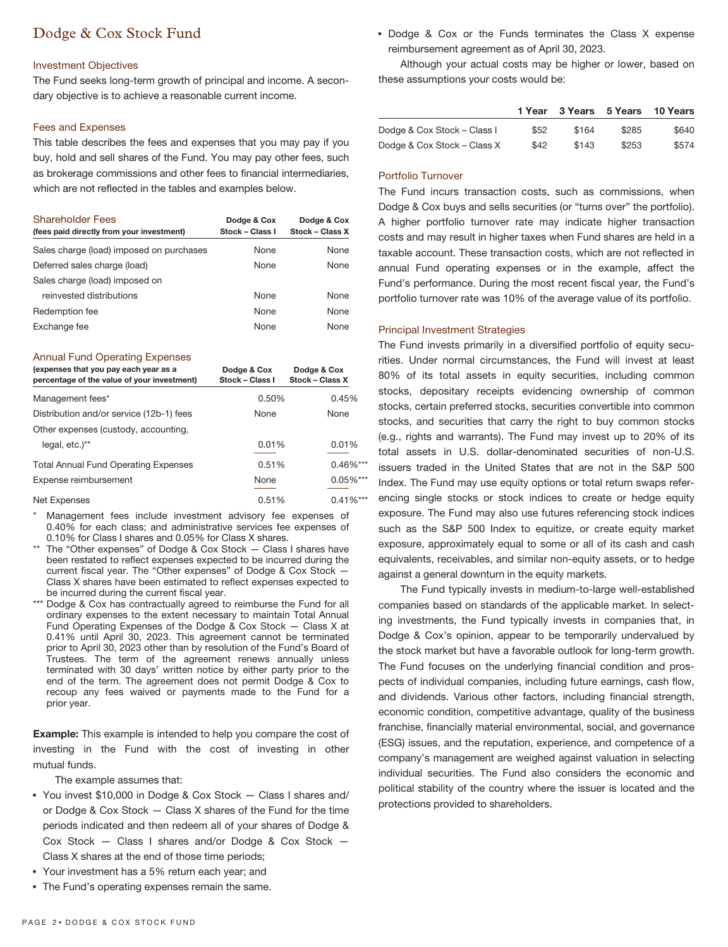# Dodge & Cox Stock Fund

# Investment Objectives

The Fund seeks long-term growth of principal and income. A secondary objective is to achieve a reasonable current income.

# Fees and Expenses

This table describes the fees and expenses that you may pay if you buy, hold and sell shares of the Fund. You may pay other fees, such as brokerage commissions and other fees to financial intermediaries, which are not reflected in the tables and examples below.

| <b>Shareholder Fees</b><br>(fees paid directly from your investment) | Dodge & Cox<br>Stock - Class I | Dodge & Cox<br>Stock - Class X |
|----------------------------------------------------------------------|--------------------------------|--------------------------------|
| Sales charge (load) imposed on purchases                             | None                           | None                           |
| Deferred sales charge (load)                                         | None                           | None                           |
| Sales charge (load) imposed on                                       |                                |                                |
| reinvested distributions                                             | None                           | None                           |
| Redemption fee                                                       | None                           | None                           |
| Exchange fee                                                         | <b>None</b>                    | <b>None</b>                    |

#### Annual Fund Operating Expenses

| (expenses that you pay each year as a<br>percentage of the value of your investment) | Dodge & Cox<br>Stock - Class I | Dodge & Cox<br>Stock - Class X |
|--------------------------------------------------------------------------------------|--------------------------------|--------------------------------|
| Management fees*                                                                     | 0.50%                          | 0.45%                          |
| Distribution and/or service (12b-1) fees                                             | None                           | None                           |
| Other expenses (custody, accounting,                                                 |                                |                                |
| legal, etc.)**                                                                       | 0.01%                          | 0.01%                          |
| <b>Total Annual Fund Operating Expenses</b>                                          | 0.51%                          | $0.46\%***$                    |
| Expense reimbursement                                                                | None                           | $0.05\%***$                    |
| Net Expenses                                                                         | 0.51%                          | $0.41\%***$                    |

Management fees include investment advisory fee expenses of 0.40% for each class; and administrative services fee expenses of 0.10% for Class I shares and 0.05% for Class X shares.

- \*\* The "Other expenses" of Dodge & Cox Stock Class I shares have been restated to reflect expenses expected to be incurred during the current fiscal year. The "Other expenses" of Dodge & Cox Stock — Class X shares have been estimated to reflect expenses expected to be incurred during the current fiscal year.
- \*\*\* Dodge & Cox has contractually agreed to reimburse the Fund for all ordinary expenses to the extent necessary to maintain Total Annual Fund Operating Expenses of the Dodge & Cox Stock — Class X at 0.41% until April 30, 2023. This agreement cannot be terminated prior to April 30, 2023 other than by resolution of the Fund's Board of Trustees. The term of the agreement renews annually unless terminated with 30 days' written notice by either party prior to the end of the term. The agreement does not permit Dodge & Cox to recoup any fees waived or payments made to the Fund for a prior year.

**Example:** This example is intended to help you compare the cost of investing in the Fund with the cost of investing in other mutual funds.

The example assumes that:

- You invest \$10,000 in Dodge & Cox Stock Class I shares and/ or Dodge & Cox Stock — Class X shares of the Fund for the time periods indicated and then redeem all of your shares of Dodge & Cox Stock — Class I shares and/or Dodge & Cox Stock — Class X shares at the end of those time periods;
- Your investment has a 5% return each year; and
- The Fund's operating expenses remain the same.

▪ Dodge & Cox or the Funds terminates the Class X expense reimbursement agreement as of April 30, 2023.

Although your actual costs may be higher or lower, based on these assumptions your costs would be:

|                             | 1 Year |       | 3 Years 5 Years | 10 Years |
|-----------------------------|--------|-------|-----------------|----------|
| Dodge & Cox Stock - Class I | \$52   | \$164 | \$285           | \$640    |
| Dodge & Cox Stock - Class X | \$42   | \$143 | \$253           | \$574    |

## Portfolio Turnover

The Fund incurs transaction costs, such as commissions, when Dodge & Cox buys and sells securities (or "turns over" the portfolio). A higher portfolio turnover rate may indicate higher transaction costs and may result in higher taxes when Fund shares are held in a taxable account. These transaction costs, which are not reflected in annual Fund operating expenses or in the example, affect the Fund's performance. During the most recent fiscal year, the Fund's portfolio turnover rate was 10% of the average value of its portfolio.

#### Principal Investment Strategies

The Fund invests primarily in a diversified portfolio of equity securities. Under normal circumstances, the Fund will invest at least 80% of its total assets in equity securities, including common stocks, depositary receipts evidencing ownership of common stocks, certain preferred stocks, securities convertible into common stocks, and securities that carry the right to buy common stocks (e.g., rights and warrants). The Fund may invest up to 20% of its total assets in U.S. dollar-denominated securities of non-U.S. issuers traded in the United States that are not in the S&P 500 Index. The Fund may use equity options or total return swaps referencing single stocks or stock indices to create or hedge equity exposure. The Fund may also use futures referencing stock indices such as the S&P 500 Index to equitize, or create equity market exposure, approximately equal to some or all of its cash and cash equivalents, receivables, and similar non-equity assets, or to hedge against a general downturn in the equity markets.

The Fund typically invests in medium-to-large well-established companies based on standards of the applicable market. In selecting investments, the Fund typically invests in companies that, in Dodge & Cox's opinion, appear to be temporarily undervalued by the stock market but have a favorable outlook for long-term growth. The Fund focuses on the underlying financial condition and prospects of individual companies, including future earnings, cash flow, and dividends. Various other factors, including financial strength, economic condition, competitive advantage, quality of the business franchise, financially material environmental, social, and governance (ESG) issues, and the reputation, experience, and competence of a company's management are weighed against valuation in selecting individual securities. The Fund also considers the economic and political stability of the country where the issuer is located and the protections provided to shareholders.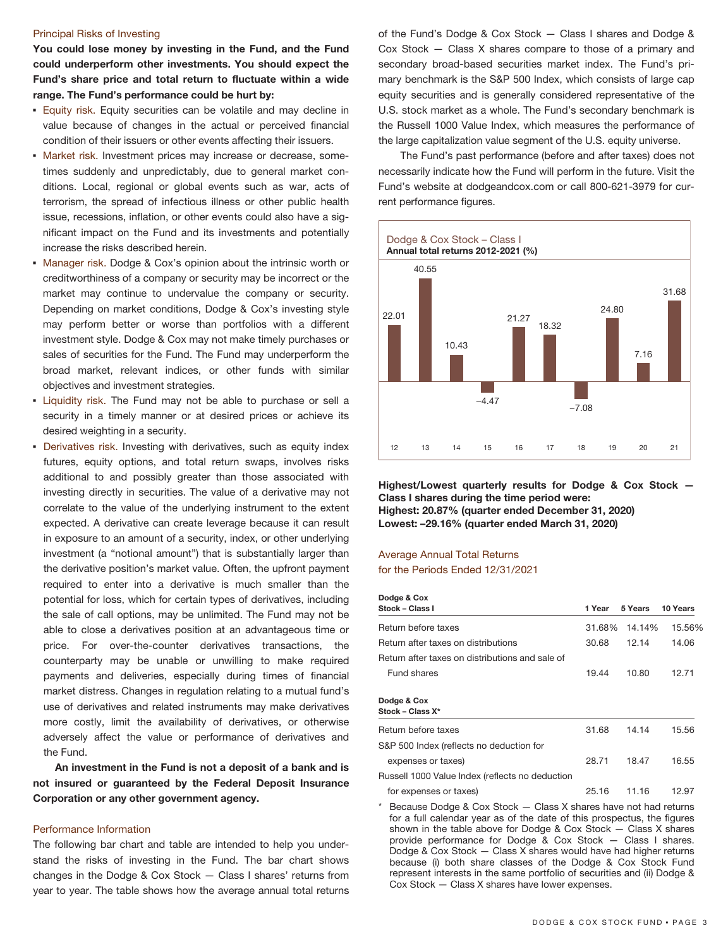#### Principal Risks of Investing

**You could lose money by investing in the Fund, and the Fund could underperform other investments. You should expect the Fund's share price and total return to fluctuate within a wide range. The Fund's performance could be hurt by:**

- **Equity risk.** Equity securities can be volatile and may decline in value because of changes in the actual or perceived financial condition of their issuers or other events affecting their issuers.
- **· Market risk. Investment prices may increase or decrease, some**times suddenly and unpredictably, due to general market conditions. Local, regional or global events such as war, acts of terrorism, the spread of infectious illness or other public health issue, recessions, inflation, or other events could also have a significant impact on the Fund and its investments and potentially increase the risks described herein.
- Manager risk. Dodge & Cox's opinion about the intrinsic worth or creditworthiness of a company or security may be incorrect or the market may continue to undervalue the company or security. Depending on market conditions, Dodge & Cox's investing style may perform better or worse than portfolios with a different investment style. Dodge & Cox may not make timely purchases or sales of securities for the Fund. The Fund may underperform the broad market, relevant indices, or other funds with similar objectives and investment strategies.
- Liquidity risk. The Fund may not be able to purchase or sell a security in a timely manner or at desired prices or achieve its desired weighting in a security.
- Derivatives risk. Investing with derivatives, such as equity index futures, equity options, and total return swaps, involves risks additional to and possibly greater than those associated with investing directly in securities. The value of a derivative may not correlate to the value of the underlying instrument to the extent expected. A derivative can create leverage because it can result in exposure to an amount of a security, index, or other underlying investment (a "notional amount") that is substantially larger than the derivative position's market value. Often, the upfront payment required to enter into a derivative is much smaller than the potential for loss, which for certain types of derivatives, including the sale of call options, may be unlimited. The Fund may not be able to close a derivatives position at an advantageous time or price. For over-the-counter derivatives transactions, the counterparty may be unable or unwilling to make required payments and deliveries, especially during times of financial market distress. Changes in regulation relating to a mutual fund's use of derivatives and related instruments may make derivatives more costly, limit the availability of derivatives, or otherwise adversely affect the value or performance of derivatives and the Fund.

**An investment in the Fund is not a deposit of a bank and is not insured or guaranteed by the Federal Deposit Insurance Corporation or any other government agency.**

# Performance Information

The following bar chart and table are intended to help you understand the risks of investing in the Fund. The bar chart shows changes in the Dodge & Cox Stock — Class I shares' returns from year to year. The table shows how the average annual total returns of the Fund's Dodge & Cox Stock — Class I shares and Dodge & Cox Stock — Class X shares compare to those of a primary and secondary broad-based securities market index. The Fund's primary benchmark is the S&P 500 Index, which consists of large cap equity securities and is generally considered representative of the U.S. stock market as a whole. The Fund's secondary benchmark is the Russell 1000 Value Index, which measures the performance of the large capitalization value segment of the U.S. equity universe.

The Fund's past performance (before and after taxes) does not necessarily indicate how the Fund will perform in the future. Visit the Fund's website at dodgeandcox.com or call 800-621-3979 for current performance figures.



**Highest/Lowest quarterly results for Dodge & Cox Stock — Class I shares during the time period were: Highest: 20.87% (quarter ended December 31, 2020) Lowest: –29.16% (quarter ended March 31, 2020)**

# Average Annual Total Returns for the Periods Ended 12/31/2021

**Dodge & Cox**

| Douge & COX                                     |        |         |          |
|-------------------------------------------------|--------|---------|----------|
| Stock - Class I                                 | 1 Year | 5 Years | 10 Years |
| Return before taxes                             | 31.68% | 14.14%  | 15.56%   |
| Return after taxes on distributions             | 30.68  | 12.14   | 14.06    |
| Return after taxes on distributions and sale of |        |         |          |
| Fund shares                                     | 19.44  | 10.80   | 12.71    |
| Dodge & Cox<br>Stock - Class X*                 |        |         |          |
| Return before taxes                             | 31.68  | 14.14   | 15.56    |
| S&P 500 Index (reflects no deduction for        |        |         |          |
| expenses or taxes)                              | 28.71  | 18.47   | 16.55    |
| Russell 1000 Value Index (reflects no deduction |        |         |          |
| for expenses or taxes)                          | 25.16  | 11.16   | 12.97    |

\* Because Dodge & Cox Stock — Class X shares have not had returns for a full calendar year as of the date of this prospectus, the figures shown in the table above for Dodge & Cox Stock — Class X shares provide performance for Dodge & Cox Stock — Class I shares. Dodge & Cox Stock — Class X shares would have had higher returns because (i) both share classes of the Dodge & Cox Stock Fund represent interests in the same portfolio of securities and (ii) Dodge & Cox Stock — Class X shares have lower expenses.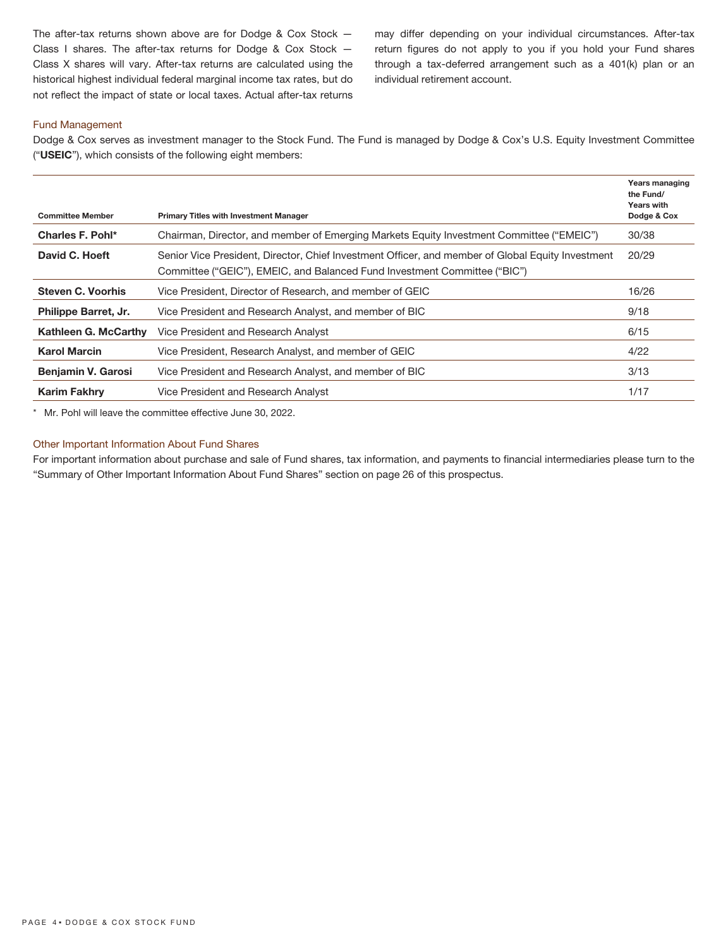The after-tax returns shown above are for Dodge & Cox Stock — Class I shares. The after-tax returns for Dodge & Cox Stock — Class X shares will vary. After-tax returns are calculated using the historical highest individual federal marginal income tax rates, but do not reflect the impact of state or local taxes. Actual after-tax returns may differ depending on your individual circumstances. After-tax return figures do not apply to you if you hold your Fund shares through a tax-deferred arrangement such as a 401(k) plan or an individual retirement account.

# Fund Management

Dodge & Cox serves as investment manager to the Stock Fund. The Fund is managed by Dodge & Cox's U.S. Equity Investment Committee ("**USEIC**"), which consists of the following eight members:

| <b>Committee Member</b>   | <b>Primary Titles with Investment Manager</b>                                                                                                                                  | Years managing<br>the Fund/<br><b>Years with</b><br>Dodge & Cox |
|---------------------------|--------------------------------------------------------------------------------------------------------------------------------------------------------------------------------|-----------------------------------------------------------------|
| Charles F. Pohl*          | Chairman, Director, and member of Emerging Markets Equity Investment Committee ("EMEIC")                                                                                       | 30/38                                                           |
| David C. Hoeft            | Senior Vice President, Director, Chief Investment Officer, and member of Global Equity Investment<br>Committee ("GEIC"), EMEIC, and Balanced Fund Investment Committee ("BIC") | 20/29                                                           |
| <b>Steven C. Voorhis</b>  | Vice President, Director of Research, and member of GEIC                                                                                                                       | 16/26                                                           |
| Philippe Barret, Jr.      | Vice President and Research Analyst, and member of BIC                                                                                                                         | 9/18                                                            |
| Kathleen G. McCarthy      | Vice President and Research Analyst                                                                                                                                            | 6/15                                                            |
| <b>Karol Marcin</b>       | Vice President, Research Analyst, and member of GEIC                                                                                                                           | 4/22                                                            |
| <b>Benjamin V. Garosi</b> | Vice President and Research Analyst, and member of BIC                                                                                                                         | 3/13                                                            |
| <b>Karim Fakhry</b>       | Vice President and Research Analyst                                                                                                                                            | 1/17                                                            |
|                           |                                                                                                                                                                                |                                                                 |

\* Mr. Pohl will leave the committee effective June 30, 2022.

# Other Important Information About Fund Shares

For important information about purchase and sale of Fund shares, tax information, and payments to financial intermediaries please turn to the "Summary of Other Important Information About Fund Shares" section on page 26 of this prospectus.